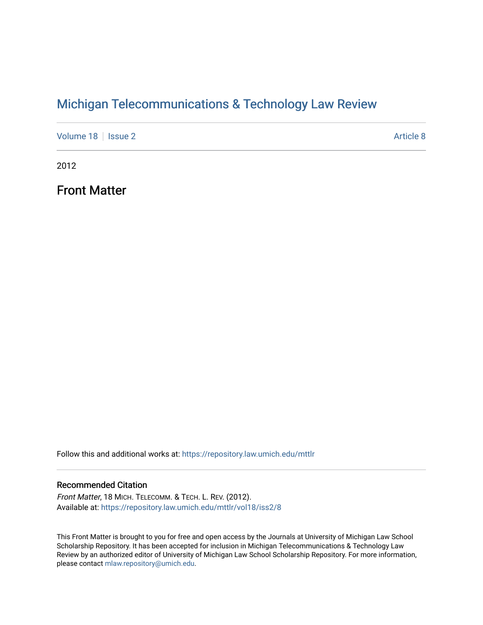## [Michigan Telecommunications & Technology Law Review](https://repository.law.umich.edu/mttlr)

[Volume 18](https://repository.law.umich.edu/mttlr/vol18) | [Issue 2](https://repository.law.umich.edu/mttlr/vol18/iss2) Article 8

2012

Front Matter

Follow this and additional works at: [https://repository.law.umich.edu/mttlr](https://repository.law.umich.edu/mttlr?utm_source=repository.law.umich.edu%2Fmttlr%2Fvol18%2Fiss2%2F8&utm_medium=PDF&utm_campaign=PDFCoverPages)

## Recommended Citation

Front Matter, 18 MICH. TELECOMM. & TECH. L. REV. (2012). Available at: [https://repository.law.umich.edu/mttlr/vol18/iss2/8](https://repository.law.umich.edu/mttlr/vol18/iss2/8?utm_source=repository.law.umich.edu%2Fmttlr%2Fvol18%2Fiss2%2F8&utm_medium=PDF&utm_campaign=PDFCoverPages) 

This Front Matter is brought to you for free and open access by the Journals at University of Michigan Law School Scholarship Repository. It has been accepted for inclusion in Michigan Telecommunications & Technology Law Review by an authorized editor of University of Michigan Law School Scholarship Repository. For more information, please contact [mlaw.repository@umich.edu.](mailto:mlaw.repository@umich.edu)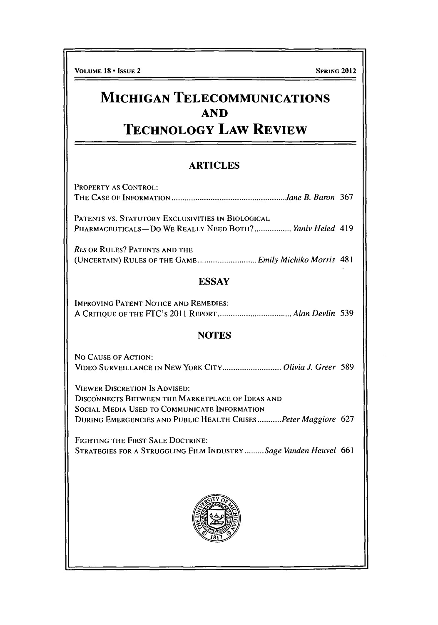## **MICHIGAN TELECOMMUNICATIONS AND TECHNOLOGY LAW REVIEW**

## ARTICLES

| <b>PROPERTY AS CONTROL:</b>                                                                                                                     |
|-------------------------------------------------------------------------------------------------------------------------------------------------|
|                                                                                                                                                 |
| PATENTS VS. STATUTORY EXCLUSIVITIES IN BIOLOGICAL<br>PHARMACEUTICALS-DO WE REALLY NEED BOTH? Yaniv Heled 419                                    |
| <b>RES OR RULES? PATENTS AND THE</b><br>(UNCERTAIN) RULES OF THE GAME  Emily Michiko Morris 481                                                 |
| <b>ESSAY</b>                                                                                                                                    |
| <b>IMPROVING PATENT NOTICE AND REMEDIES:</b>                                                                                                    |
| <b>NOTES</b>                                                                                                                                    |
| NO CAUSE OF ACTION:<br>VIDEO SURVEILLANCE IN NEW YORK CITY Olivia J. Greer 589                                                                  |
| <b>VIEWER DISCRETION IS ADVISED:</b><br><b>DISCONNECTS BETWEEN THE MARKETPLACE OF IDEAS AND</b><br>SOCIAL MEDIA USED TO COMMUNICATE INFORMATION |
| DURING EMERGENCIES AND PUBLIC HEALTH CRISESPeter Maggiore 627                                                                                   |
| FIGHTING THE FIRST SALE DOCTRINE:<br>STRATEGIES FOR A STRUGGLING FILM INDUSTRY Sage Vanden Heuvel 661                                           |
|                                                                                                                                                 |